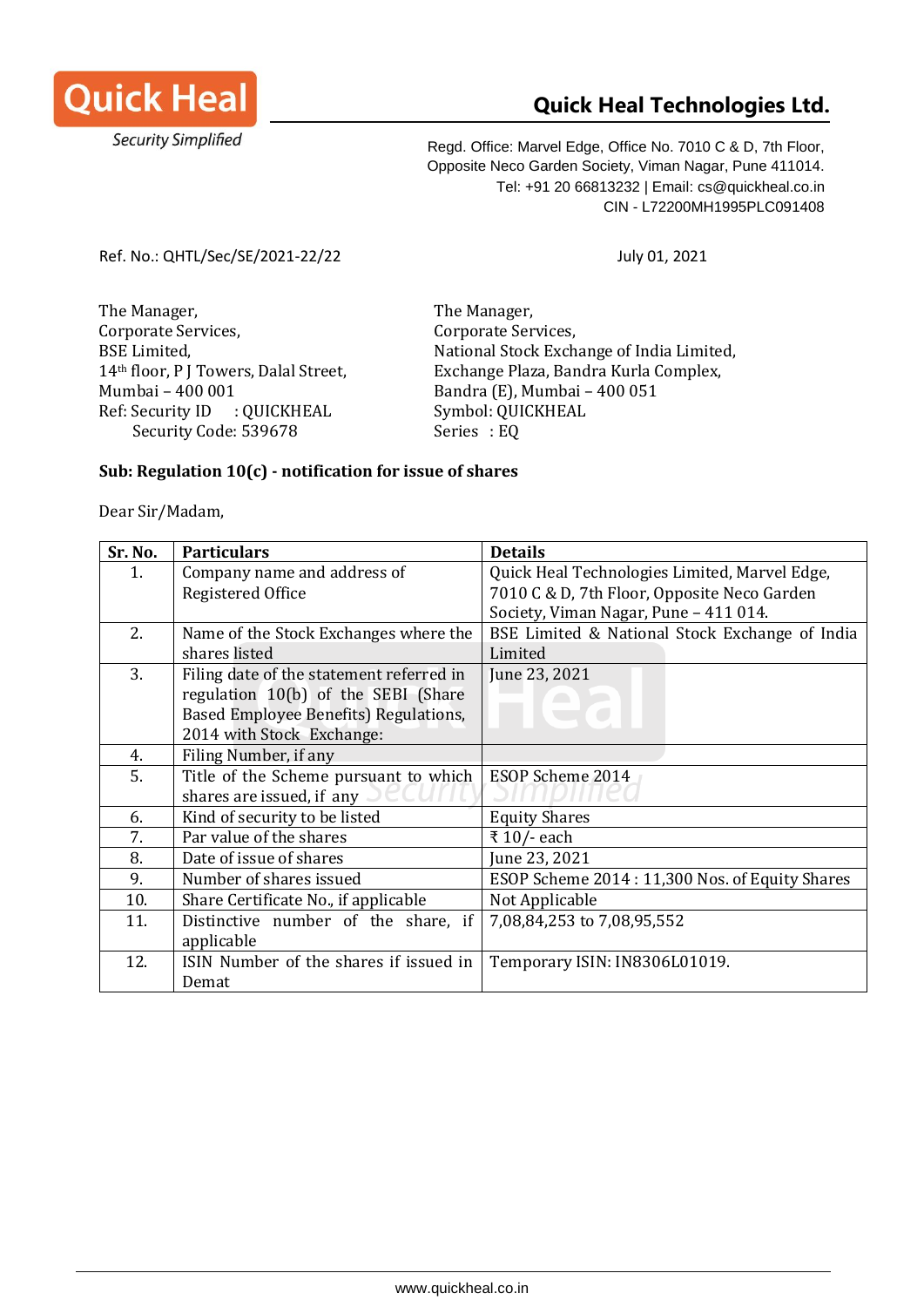

## **Quick Heal Technologies Ltd.**

Regd. Office: Marvel Edge, Office No. 7010 C & D, 7th Floor, Opposite Neco Garden Society, Viman Nagar, Pune 411014. Tel: +91 20 66813232 | Email: cs@quickheal.co.in CIN - L72200MH1995PLC091408

Ref. No.: QHTL/Sec/SE/2021-22/22 July 01, 2021

The Manager, The Manager, Corporate Services, Corporate Services, BSE Limited, National Stock Exchange of India Limited, 14th floor, P J Towers, Dalal Street, Exchange Plaza, Bandra Kurla Complex, Mumbai – 400 001 Bandra (E), Mumbai – 400 051 Ref: Security ID : QUICKHEAL Symbol: QUICKHEAL Security Code: 539678 Series : EQ

## **Sub: Regulation 10(c) - notification for issue of shares**

Dear Sir/Madam,

| Sr. No. | <b>Particulars</b>                       | <b>Details</b>                                 |
|---------|------------------------------------------|------------------------------------------------|
| 1.      | Company name and address of              | Quick Heal Technologies Limited, Marvel Edge,  |
|         | Registered Office                        | 7010 C & D, 7th Floor, Opposite Neco Garden    |
|         |                                          | Society, Viman Nagar, Pune - 411 014.          |
| 2.      | Name of the Stock Exchanges where the    | BSE Limited & National Stock Exchange of India |
|         | shares listed                            | Limited                                        |
| 3.      | Filing date of the statement referred in | June 23, 2021                                  |
|         | regulation 10(b) of the SEBI (Share      |                                                |
|         | Based Employee Benefits) Regulations,    |                                                |
|         | 2014 with Stock Exchange:                |                                                |
| 4.      | Filing Number, if any                    |                                                |
| 5.      | Title of the Scheme pursuant to which    | ESOP Scheme 2014                               |
|         | shares are issued, if any                |                                                |
| 6.      | Kind of security to be listed            | <b>Equity Shares</b>                           |
| 7.      | Par value of the shares                  | ₹ 10/- each                                    |
| 8.      | Date of issue of shares                  | June 23, 2021                                  |
| 9.      | Number of shares issued                  | ESOP Scheme 2014: 11,300 Nos. of Equity Shares |
| 10.     | Share Certificate No., if applicable     | Not Applicable                                 |
| 11.     | Distinctive number of the share, if      | 7,08,84,253 to 7,08,95,552                     |
|         | applicable                               |                                                |
| 12.     | ISIN Number of the shares if issued in   | Temporary ISIN: IN8306L01019.                  |
|         | Demat                                    |                                                |